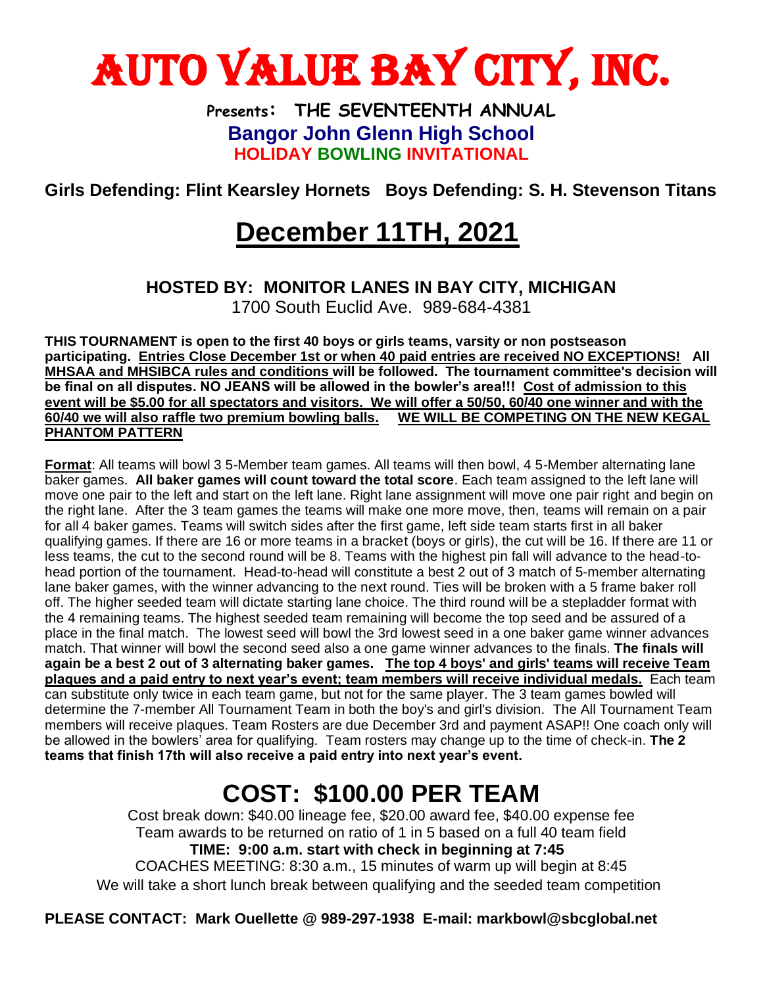

**Presents: THE SEVENTEENTH ANNUAL Bangor John Glenn High School HOLIDAY BOWLING INVITATIONAL**

**Girls Defending: Flint Kearsley Hornets Boys Defending: S. H. Stevenson Titans**

## **December 11TH, 2021**

## **HOSTED BY: MONITOR LANES IN BAY CITY, MICHIGAN**

1700 South Euclid Ave. 989-684-4381

**THIS TOURNAMENT is open to the first 40 boys or girls teams, varsity or non postseason participating. Entries Close December 1st or when 40 paid entries are received NO EXCEPTIONS! All MHSAA and MHSIBCA rules and conditions will be followed. The tournament committee's decision will be final on all disputes. NO JEANS will be allowed in the bowler's area!!! Cost of admission to this event will be \$5.00 for all spectators and visitors. We will offer a 50/50, 60/40 one winner and with the 60/40 we will also raffle two premium bowling balls. WE WILL BE COMPETING ON THE NEW KEGAL PHANTOM PATTERN**

**Format**: All teams will bowl 3 5-Member team games. All teams will then bowl, 4 5-Member alternating lane baker games. **All baker games will count toward the total score**. Each team assigned to the left lane will move one pair to the left and start on the left lane. Right lane assignment will move one pair right and begin on the right lane. After the 3 team games the teams will make one more move, then, teams will remain on a pair for all 4 baker games. Teams will switch sides after the first game, left side team starts first in all baker qualifying games. If there are 16 or more teams in a bracket (boys or girls), the cut will be 16. If there are 11 or less teams, the cut to the second round will be 8. Teams with the highest pin fall will advance to the head-tohead portion of the tournament. Head-to-head will constitute a best 2 out of 3 match of 5-member alternating lane baker games, with the winner advancing to the next round. Ties will be broken with a 5 frame baker roll off. The higher seeded team will dictate starting lane choice. The third round will be a stepladder format with the 4 remaining teams. The highest seeded team remaining will become the top seed and be assured of a place in the final match. The lowest seed will bowl the 3rd lowest seed in a one baker game winner advances match. That winner will bowl the second seed also a one game winner advances to the finals. **The finals will again be a best 2 out of 3 alternating baker games. The top 4 boys' and girls' teams will receive Team plaques and a paid entry to next year's event; team members will receive individual medals.** Each team can substitute only twice in each team game, but not for the same player. The 3 team games bowled will determine the 7-member All Tournament Team in both the boy's and girl's division. The All Tournament Team members will receive plaques. Team Rosters are due December 3rd and payment ASAP!! One coach only will be allowed in the bowlers' area for qualifying. Team rosters may change up to the time of check-in. **The 2 teams that finish 17th will also receive a paid entry into next year's event.** 

## **COST: \$100.00 PER TEAM**

Cost break down: \$40.00 lineage fee, \$20.00 award fee, \$40.00 expense fee Team awards to be returned on ratio of 1 in 5 based on a full 40 team field **TIME: 9:00 a.m. start with check in beginning at 7:45**  COACHES MEETING: 8:30 a.m., 15 minutes of warm up will begin at 8:45 We will take a short lunch break between qualifying and the seeded team competition

**PLEASE CONTACT: Mark Ouellette @ 989-297-1938 E-mail: markbowl@sbcglobal.net**